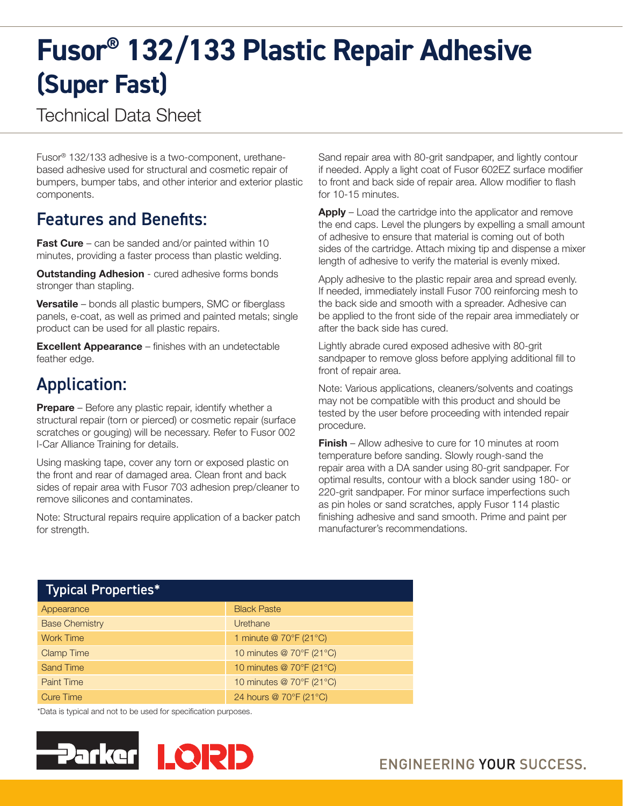# **Fusor® 132/133 Plastic Repair Adhesive (Super Fast)**

Technical Data Sheet

Fusor® 132/133 adhesive is a two-component, urethanebased adhesive used for structural and cosmetic repair of bumpers, bumper tabs, and other interior and exterior plastic components.

### Features and Benefits:

**Fast Cure** – can be sanded and/or painted within 10 minutes, providing a faster process than plastic welding.

**Outstanding Adhesion** - cured adhesive forms bonds stronger than stapling.

**Versatile** – bonds all plastic bumpers, SMC or fiberglass panels, e-coat, as well as primed and painted metals; single product can be used for all plastic repairs.

Excellent Appearance – finishes with an undetectable feather edge.

## Application:

**Prepare** – Before any plastic repair, identify whether a structural repair (torn or pierced) or cosmetic repair (surface scratches or gouging) will be necessary. Refer to Fusor 002 I-Car Alliance Training for details.

Using masking tape, cover any torn or exposed plastic on the front and rear of damaged area. Clean front and back sides of repair area with Fusor 703 adhesion prep/cleaner to remove silicones and contaminates.

Note: Structural repairs require application of a backer patch for strength.

Sand repair area with 80-grit sandpaper, and lightly contour if needed. Apply a light coat of Fusor 602EZ surface modifier to front and back side of repair area. Allow modifier to flash for 10-15 minutes.

Apply – Load the cartridge into the applicator and remove the end caps. Level the plungers by expelling a small amount of adhesive to ensure that material is coming out of both sides of the cartridge. Attach mixing tip and dispense a mixer length of adhesive to verify the material is evenly mixed.

Apply adhesive to the plastic repair area and spread evenly. If needed, immediately install Fusor 700 reinforcing mesh to the back side and smooth with a spreader. Adhesive can be applied to the front side of the repair area immediately or after the back side has cured.

Lightly abrade cured exposed adhesive with 80-grit sandpaper to remove gloss before applying additional fill to front of repair area.

Note: Various applications, cleaners/solvents and coatings may not be compatible with this product and should be tested by the user before proceeding with intended repair procedure.

**Finish** – Allow adhesive to cure for 10 minutes at room temperature before sanding. Slowly rough-sand the repair area with a DA sander using 80-grit sandpaper. For optimal results, contour with a block sander using 180- or 220-grit sandpaper. For minor surface imperfections such as pin holes or sand scratches, apply Fusor 114 plastic finishing adhesive and sand smooth. Prime and paint per manufacturer's recommendations.

| <b>Typical Properties*</b> |                          |
|----------------------------|--------------------------|
| Appearance                 | <b>Black Paste</b>       |
| <b>Base Chemistry</b>      | Urethane                 |
| <b>Work Time</b>           | 1 minute @ 70°F (21°C)   |
| <b>Clamp Time</b>          | 10 minutes @ 70°F (21°C) |
| <b>Sand Time</b>           | 10 minutes @ 70°F (21°C) |
| <b>Paint Time</b>          | 10 minutes @ 70°F (21°C) |
| <b>Cure Time</b>           | 24 hours @ 70°F (21°C)   |

\*Data is typical and not to be used for specification purposes.